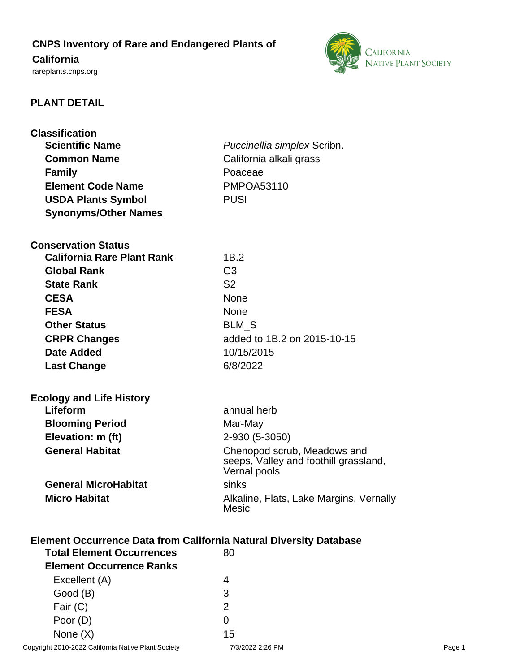# **CNPS Inventory of Rare and Endangered Plants of**

## **California**

<rareplants.cnps.org>



## **PLANT DETAIL**

| <b>Classification</b><br><b>Scientific Name</b><br><b>Common Name</b><br><b>Family</b><br><b>Element Code Name</b> | Puccinellia simplex Scribn.<br>California alkali grass<br>Poaceae<br><b>PMPOA53110</b> |  |
|--------------------------------------------------------------------------------------------------------------------|----------------------------------------------------------------------------------------|--|
| <b>USDA Plants Symbol</b>                                                                                          | <b>PUSI</b>                                                                            |  |
| <b>Synonyms/Other Names</b>                                                                                        |                                                                                        |  |
| <b>Conservation Status</b>                                                                                         |                                                                                        |  |
| <b>California Rare Plant Rank</b>                                                                                  | 1B.2                                                                                   |  |
| <b>Global Rank</b>                                                                                                 | G <sub>3</sub>                                                                         |  |
| <b>State Rank</b>                                                                                                  | S <sub>2</sub>                                                                         |  |
| <b>CESA</b>                                                                                                        | <b>None</b>                                                                            |  |
| <b>FESA</b>                                                                                                        | <b>None</b>                                                                            |  |
| <b>Other Status</b>                                                                                                | BLM_S                                                                                  |  |
| <b>CRPR Changes</b>                                                                                                | added to 1B.2 on 2015-10-15                                                            |  |
| <b>Date Added</b>                                                                                                  | 10/15/2015                                                                             |  |
| <b>Last Change</b>                                                                                                 | 6/8/2022                                                                               |  |
| <b>Ecology and Life History</b>                                                                                    |                                                                                        |  |
| Lifeform                                                                                                           | annual herb                                                                            |  |
| <b>Blooming Period</b>                                                                                             | Mar-May                                                                                |  |
| Elevation: m (ft)                                                                                                  | 2-930 (5-3050)                                                                         |  |
| <b>General Habitat</b>                                                                                             | Chenopod scrub, Meadows and<br>seeps, Valley and foothill grassland,<br>Vernal pools   |  |
| <b>General MicroHabitat</b>                                                                                        | sinks                                                                                  |  |
| <b>Micro Habitat</b>                                                                                               | Alkaline, Flats, Lake Margins, Vernally<br><b>Mesic</b>                                |  |
| <b>Element Occurrence Data from California Natural Diversity Database</b>                                          |                                                                                        |  |
| <b>Total Element Occurrences</b>                                                                                   | 80                                                                                     |  |
| <b>Element Occurrence Ranks</b>                                                                                    |                                                                                        |  |
|                                                                                                                    |                                                                                        |  |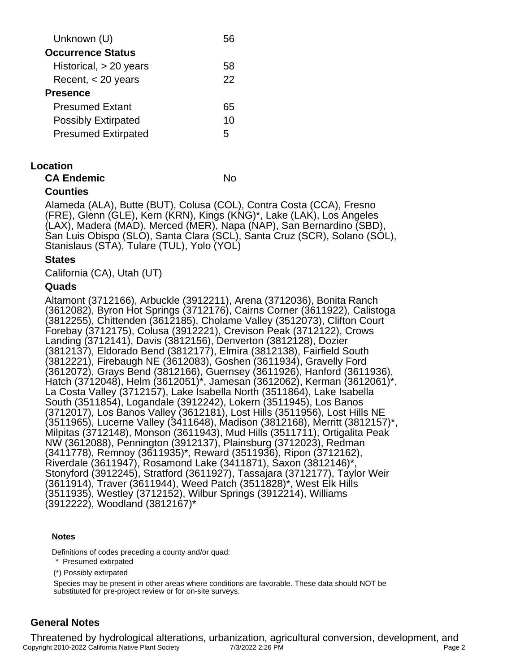| Unknown (U)                |    |
|----------------------------|----|
| <b>Occurrence Status</b>   |    |
| Historical, $> 20$ years   | 58 |
| Recent, $<$ 20 years       | 22 |
| <b>Presence</b>            |    |
| <b>Presumed Extant</b>     | 65 |
| <b>Possibly Extirpated</b> | 10 |
| <b>Presumed Extirpated</b> | 5  |
|                            |    |

#### **Location**

**CA Endemic** No

### **Counties**

Alameda (ALA), Butte (BUT), Colusa (COL), Contra Costa (CCA), Fresno (FRE), Glenn (GLE), Kern (KRN), Kings (KNG)\*, Lake (LAK), Los Angeles (LAX), Madera (MAD), Merced (MER), Napa (NAP), San Bernardino (SBD), San Luis Obispo (SLO), Santa Clara (SCL), Santa Cruz (SCR), Solano (SOL), Stanislaus (STA), Tulare (TUL), Yolo (YOL)

#### **States**

California (CA), Utah (UT)

#### **Quads**

Altamont (3712166), Arbuckle (3912211), Arena (3712036), Bonita Ranch (3612082), Byron Hot Springs (3712176), Cairns Corner (3611922), Calistoga (3812255), Chittenden (3612185), Cholame Valley (3512073), Clifton Court Forebay (3712175), Colusa (3912221), Crevison Peak (3712122), Crows Landing (3712141), Davis (3812156), Denverton (3812128), Dozier (3812137), Eldorado Bend (3812177), Elmira (3812138), Fairfield South (3812221), Firebaugh NE (3612083), Goshen (3611934), Gravelly Ford (3612072), Grays Bend (3812166), Guernsey (3611926), Hanford (3611936), Hatch (3712048), Helm (3612051)\*, Jamesan (3612062), Kerman (3612061)\*, La Costa Valley (3712157), Lake Isabella North (3511864), Lake Isabella South (3511854), Logandale (3912242), Lokern (3511945), Los Banos (3712017), Los Banos Valley (3612181), Lost Hills (3511956), Lost Hills NE (3511965), Lucerne Valley (3411648), Madison (3812168), Merritt (3812157)\*, Milpitas (3712148), Monson (3611943), Mud Hills (3511711), Ortigalita Peak NW (3612088), Pennington (3912137), Plainsburg (3712023), Redman (3411778), Remnoy (3611935)\*, Reward (3511936), Ripon (3712162), Riverdale (3611947), Rosamond Lake (3411871), Saxon (3812146)\*, Stonyford (3912245), Stratford (3611927), Tassajara (3712177), Taylor Weir (3611914), Traver (3611944), Weed Patch (3511828)\*, West Elk Hills (3511935), Westley (3712152), Wilbur Springs (3912214), Williams (3912222), Woodland (3812167)\*

#### **Notes**

Definitions of codes preceding a county and/or quad:

\* Presumed extirpated

(\*) Possibly extirpated

Species may be present in other areas where conditions are favorable. These data should NOT be substituted for pre-project review or for on-site surveys.

# **General Notes**